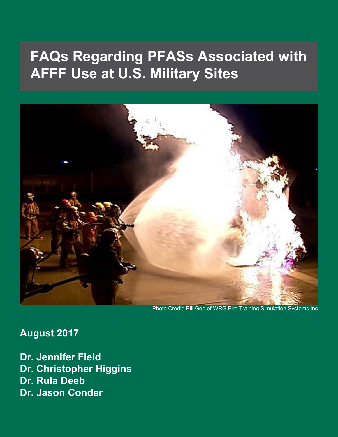

Photo Credit: Bill Gee of WRG Fire Training Simulation Systems Inc

**August 2017**

**Dr. Jennifer Field Dr. Christopher Higgins Dr. Rula Deeb Dr. Jason Conder**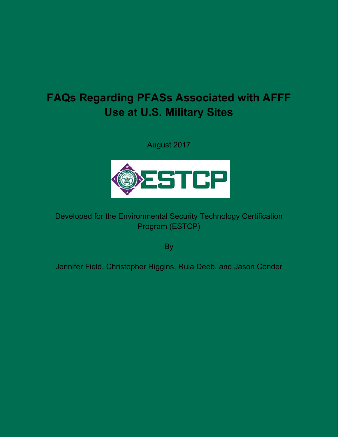August 2017



#### Developed for the Environmental Security Technology Certification Program (ESTCP)

By

Jennifer Field, Christopher Higgins, Rula Deeb, and Jason Conder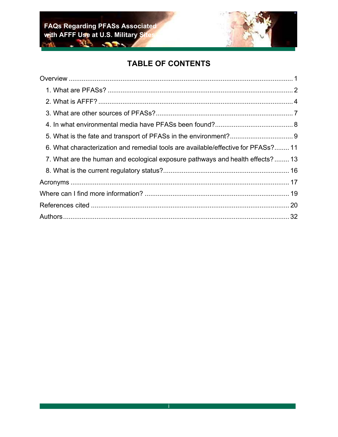

#### **TABLE OF CONTENTS**

| 6. What characterization and remedial tools are available/effective for PFASs? 11 |  |
|-----------------------------------------------------------------------------------|--|
| 7. What are the human and ecological exposure pathways and health effects? 13     |  |
|                                                                                   |  |
|                                                                                   |  |
|                                                                                   |  |
|                                                                                   |  |
|                                                                                   |  |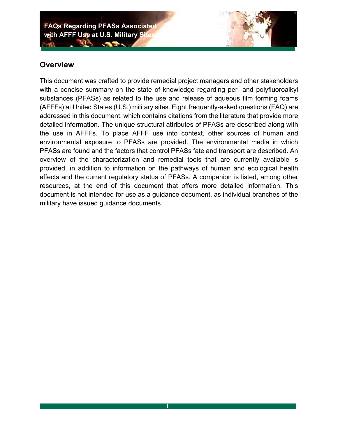**Contractor** 

#### **Overview**

This document was crafted to provide remedial project managers and other stakeholders with a concise summary on the state of knowledge regarding per- and polyfluoroalkyl substances (PFASs) as related to the use and release of aqueous film forming foams (AFFFs) at United States (U.S.) military sites. Eight frequently-asked questions (FAQ) are addressed in this document, which contains citations from the literature that provide more detailed information. The unique structural attributes of PFASs are described along with the use in AFFFs. To place AFFF use into context, other sources of human and environmental exposure to PFASs are provided. The environmental media in which PFASs are found and the factors that control PFASs fate and transport are described. An overview of the characterization and remedial tools that are currently available is provided, in addition to information on the pathways of human and ecological health effects and the current regulatory status of PFASs. A companion is listed, among other resources, at the end of this document that offers more detailed information. This document is not intended for use as a guidance document, as individual branches of the military have issued guidance documents.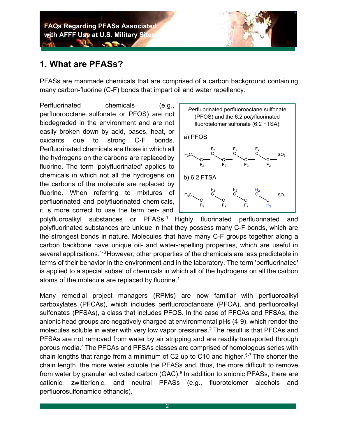

#### **1. What are PFASs?**

PFASs are manmade chemicals that are comprised of a carbon background containing many carbon-fluorine (C-F) bonds that impart oil and water repellency.

Perfluorinated chemicals (e.g., perfluorooctane sulfonate or PFOS) are not biodegraded in the environment and are not easily broken down by acid, bases, heat, or oxidants due to strong C-F bonds. Perfluorinated chemicals are those in which all the hydrogens on the carbons are replaced by fluorine. The term 'polyfluorinated' applies to chemicals in which not all the hydrogens on the carbons of the molecule are replaced by fluorine. When referring to mixtures of perfluorinated and polyfluorinated chemicals, it is more correct to use the term per- and



polyfluoroalkyl substances or PFASs.1 Highly fluorinated perfluorinated and polyfluorinated substances are unique in that they possess many C-F bonds, which are the strongest bonds in nature. Molecules that have many C-F groups together along a carbon backbone have unique oil- and water-repelling properties, which are useful in several applications.<sup>1-3</sup> However, other properties of the chemicals are less predictable in terms of their behavior in the environment and in the laboratory. The term 'perfluorinated' is applied to a special subset of chemicals in which all of the hydrogens on all the carbon atoms of the molecule are replaced by fluorine.<sup>1</sup>

Many remedial project managers (RPMs) are now familiar with perfluoroalkyl carboxylates (PFCAs), which includes perfluorooctanoate (PFOA), and perfluoroalkyl sulfonates (PFSAs), a class that includes PFOS. In the case of PFCAs and PFSAs, the anionic head groups are negatively charged at environmental pHs (4-9), which render the molecules soluble in water with very low vapor pressures.<sup>2</sup> The result is that PFCAs and PFSAs are not removed from water by air stripping and are readily transported through porous media.4 The PFCAs and PFSAs classes are comprised of homologous series with chain lengths that range from a minimum of C2 up to C10 and higher.<sup>5-7</sup> The shorter the chain length, the more water soluble the PFASs and, thus, the more difficult to remove from water by granular activated carbon  $(GAC)<sup>8</sup>$  In addition to anionic PFASs, there are cationic, zwitterionic, and neutral PFASs (e.g., fluorotelomer alcohols and perfluorosulfonamido ethanols).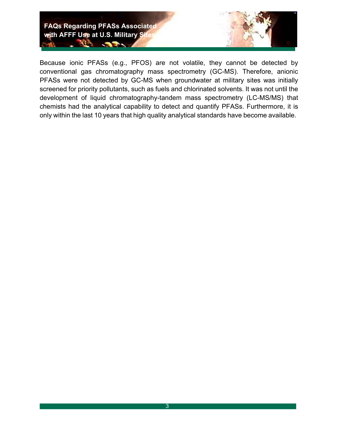

Because ionic PFASs (e.g., PFOS) are not volatile, they cannot be detected by conventional gas chromatography mass spectrometry (GC-MS). Therefore, anionic PFASs were not detected by GC-MS when groundwater at military sites was initially screened for priority pollutants, such as fuels and chlorinated solvents. It was not until the development of liquid chromatography-tandem mass spectrometry (LC-MS/MS) that chemists had the analytical capability to detect and quantify PFASs. Furthermore, it is only within the last 10 years that high quality analytical standards have become available.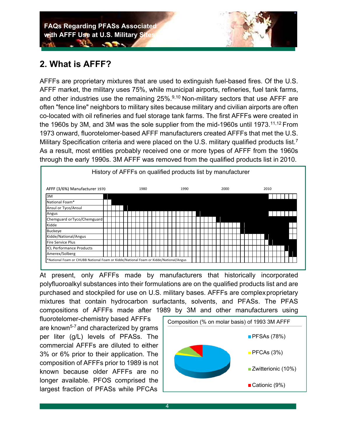#### **2. What is AFFF?**

AFFFs are proprietary mixtures that are used to extinguish fuel-based fires. Of the U.S. AFFF market, the military uses 75%, while municipal airports, refineries, fuel tank farms, and other industries use the remaining  $25\%$ .<sup>9,10</sup> Non-military sectors that use AFFF are often "fence line" neighbors to military sites because military and civilian airports are often co-located with oil refineries and fuel storage tank farms. The first AFFFs were created in the 1960s by 3M, and 3M was the sole supplier from the mid-1960s until 1973.<sup>11,12</sup> From 1973 onward, fluorotelomer-based AFFF manufacturers created AFFFs that met the U.S. Military Specification criteria and were placed on the U.S. military qualified products list.<sup>7</sup> As a result, most entities probably received one or more types of AFFF from the 1960s through the early 1990s. 3M AFFF was removed from the qualified products list in 2010.



At present, only AFFFs made by manufacturers that historically incorporated polyfluoroalkyl substances into their formulations are on the qualified products list and are purchased and stockpiled for use on U.S. military bases. AFFFs are complex proprietary mixtures that contain hydrocarbon surfactants, solvents, and PFASs. The PFAS compositions of AFFFs made after 1989 by 3M and other manufacturers using

fluorotelomer-chemistry based AFFFs are known<sup>5-7</sup> and characterized by grams per liter (g/L) levels of PFASs. The commercial AFFFs are diluted to either 3% or 6% prior to their application. The composition of AFFFs prior to 1989 is not known because older AFFFs are no longer available. PFOS comprised the largest fraction of PFASs while PFCAs

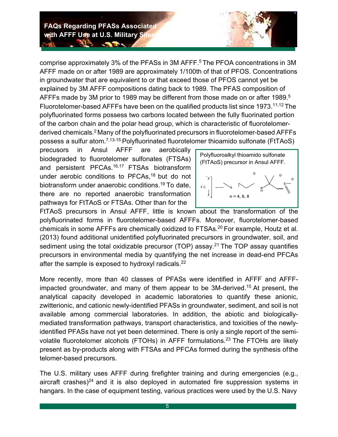**All Service** 

comprise approximately 3% of the PFASs in 3M AFFF.<sup>5</sup> The PFOA concentrations in 3M AFFF made on or after 1989 are approximately 1/100th of that of PFOS. Concentrations in groundwater that are equivalent to or that exceed those of PFOS cannot yet be explained by 3M AFFF compositions dating back to 1989. The PFAS composition of AFFFs made by 3M prior to 1989 may be different from those made on or after 1989.<sup>5</sup> Fluorotelomer-based AFFFs have been on the qualified products list since 1973.11,12 The polyfluorinated forms possess two carbons located between the fully fluorinated portion of the carbon chain and the polar head group, which is characteristic of fluorotelomerderived chemicals.2 Many of the polyfluorinated precursors in fluorotelomer-based AFFFs possess a sulfur atom.<sup>7,13-15</sup> Polyfluorinated fluorotelomer thioamido sulfonate (FtTAoS)

precusors in Ansul AFFF are aerobically biodegraded to fluorotelomer sulfonates (FTSAs) and persistent PFCAs.<sup>16,17</sup> FTSAs biotransform under aerobic conditions to PFCAs,<sup>18</sup> but do not biotransform under anaerobic conditions.19 To date, there are no reported anaerobic transformation pathways for FtTAoS or FTSAs. Other than for the



FtTAoS precursors in Ansul AFFF, little is known about the transformation of the polyfluorinated forms in fluorotelomer-based AFFFs. Moreover, fluorotelomer-based chemicals in some AFFFs are chemically oxidized to FTSAs.20 For example, Houtz et al. (2013) found additional unidentified polyfluorinated precursors in groundwater, soil, and sediment using the total oxidizable precursor (TOP) assay.<sup>21</sup> The TOP assay quantifies precursors in environmental media by quantifying the net increase in dead-end PFCAs after the sample is exposed to hydroxyl radicals.<sup>22</sup>

More recently, more than 40 classes of PFASs were identified in AFFF and AFFFimpacted groundwater, and many of them appear to be 3M-derived.<sup>15</sup> At present, the analytical capacity developed in academic laboratories to quantify these anionic, zwitterionic, and cationic newly-identified PFASs in groundwater, sediment, and soil is not available among commercial laboratories. In addition, the abiotic and biologicallymediated transformation pathways, transport characteristics, and toxicities of the newlyidentified PFASs have not yet been determined. There is only a single report of the semivolatile fluorotelomer alcohols (FTOHs) in AFFF formulations.<sup>23</sup> The FTOHs are likely present as by-products along with FTSAs and PFCAs formed during the synthesis of the telomer-based precursors.

The U.S. military uses AFFF during firefighter training and during emergencies (e.g., aircraft crashes) $24$  and it is also deployed in automated fire suppression systems in hangars. In the case of equipment testing, various practices were used by the U.S. Navy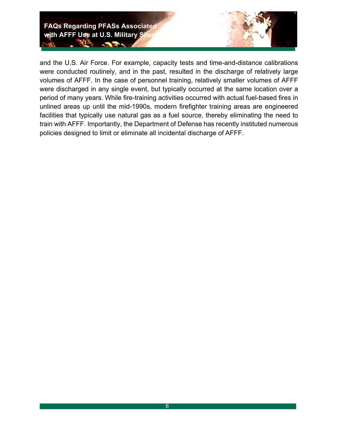

and the U.S. Air Force. For example, capacity tests and time-and-distance calibrations were conducted routinely, and in the past, resulted in the discharge of relatively large volumes of AFFF. In the case of personnel training, relatively smaller volumes of AFFF were discharged in any single event, but typically occurred at the same location over a period of many years. While fire-training activities occurred with actual fuel-based fires in unlined areas up until the mid-1990s, modern firefighter training areas are engineered facilities that typically use natural gas as a fuel source, thereby eliminating the need to train with AFFF. Importantly, the Department of Defense has recently instituted numerous policies designed to limit or eliminate all incidental discharge of AFFF.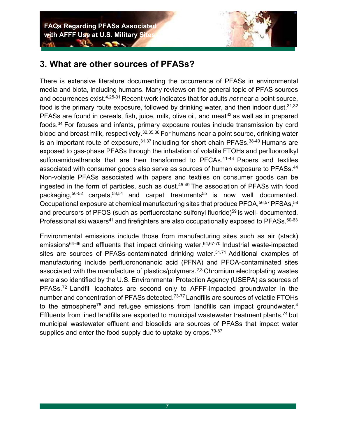

#### **3. What are other sources of PFASs?**

**CONTRACTOR** 

There is extensive literature documenting the occurrence of PFASs in environmental media and biota, including humans. Many reviews on the general topic of PFAS sources and occurrences exist.4,25-31 Recent work indicates that for adults *not* near a point source, food is the primary route exposure, followed by drinking water, and then indoor dust.  $31,32$ PFASs are found in cereals, fish, juice, milk, olive oil, and meat<sup>33</sup> as well as in prepared foods.34 For fetuses and infants, primary exposure routes include transmission by cord blood and breast milk, respectively.32,35,36 For humans near a point source, drinking water is an important route of exposure,  $31,37$  including for short chain PFASs.  $38-40$  Humans are exposed to gas-phase PFASs through the inhalation of volatile FTOHs and perfluoroalkyl sulfonamidoethanols that are then transformed to PFCAs.<sup>41-43</sup> Papers and textiles associated with consumer goods also serve as sources of human exposure to PFASs.<sup>44</sup> Non-volatile PFASs associated with papers and textiles on consumer goods can be ingested in the form of particles, such as dust.<sup>45-49</sup> The association of PFASs with food packaging, $50-52$  carpets, $53,54$  and carpet treatments<sup>55</sup> is now well documented. Occupational exposure at chemical manufacturing sites that produce PFOA, 56,57 PFSAs, 58 and precursors of PFOS (such as perfluoroctane sulfonyl fluoride) $59$  is well- documented. Professional ski waxers<sup>41</sup> and firefighters are also occupationally exposed to PFASs. $60-63$ 

Environmental emissions include those from manufacturing sites such as air (stack) emissions<sup>64-66</sup> and effluents that impact drinking water.<sup>64,67-70</sup> Industrial waste-impacted sites are sources of PFASs-contaminated drinking water. $31,71$  Additional examples of manufacturing include perfluorononanoic acid (PFNA) and PFOA-contaminated sites associated with the manufacture of plastics/polymers.<sup>2,3</sup> Chromium electroplating wastes were also identified by the U.S. Environmental Protection Agency (USEPA) as sources of PFASs.72 Landfill leachates are second only to AFFF-impacted groundwater in the number and concentration of PFASs detected.<sup>73-77</sup> Landfills are sources of volatile FTOHs to the atmosphere<sup>78</sup> and refugee emissions from landfills can impact groundwater.<sup>4</sup> Effluents from lined landfills are exported to municipal wastewater treatment plants,  $74$  but municipal wastewater effluent and biosolids are sources of PFASs that impact water supplies and enter the food supply due to uptake by crops.  $79-87$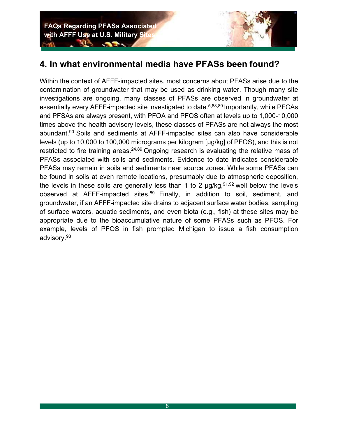#### **4. In what environmental media have PFASs been found?**

Within the context of AFFF-impacted sites, most concerns about PFASs arise due to the contamination of groundwater that may be used as drinking water. Though many site investigations are ongoing, many classes of PFASs are observed in groundwater at essentially every AFFF-impacted site investigated to date.<sup>5,88,89</sup> Importantly, while PFCAs and PFSAs are always present, with PFOA and PFOS often at levels up to 1,000-10,000 times above the health advisory levels, these classes of PFASs are not always the most abundant.<sup>90</sup> Soils and sediments at AFFF-impacted sites can also have considerable levels (up to 10,000 to 100,000 micrograms per kilogram [µg/kg] of PFOS), and this is not restricted to fire training areas.  $24,89$  Ongoing research is evaluating the relative mass of PFASs associated with soils and sediments. Evidence to date indicates considerable PFASs may remain in soils and sediments near source zones. While some PFASs can be found in soils at even remote locations, presumably due to atmospheric deposition, the levels in these soils are generally less than 1 to 2  $\mu$ g/kg,<sup>91,92</sup> well below the levels observed at AFFF-impacted sites.<sup>89</sup> Finally, in addition to soil, sediment, and groundwater, if an AFFF-impacted site drains to adjacent surface water bodies, sampling of surface waters, aquatic sediments, and even biota (e.g., fish) at these sites may be appropriate due to the bioaccumulative nature of some PFASs such as PFOS. For example, levels of PFOS in fish prompted Michigan to issue a fish consumption advisory.93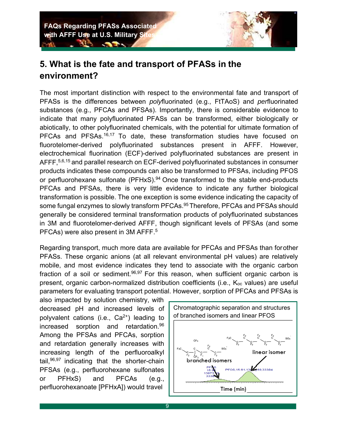### **5. What is the fate and transport of PFASs in the environment?**

The most important distinction with respect to the environmental fate and transport of PFASs is the differences between *poly*fluorinated (e.g., FtTAoS) and *per*fluorinated substances (e.g., PFCAs and PFSAs). Importantly, there is considerable evidence to indicate that many polyfluorinated PFASs can be transformed, either biologically or abiotically, to other polyfluorinated chemicals, with the potential for ultimate formation of PFCAs and PFSAs.<sup>16,17</sup> To date, these transformation studies have focused on fluorotelomer-derived polyfluorinated substances present in AFFF. However, electrochemical fluorination (ECF)-derived polyfluorinated substances are present in AFFF, 5,6,15 and parallel research on ECF-derived polyfluorinated substances in consumer products indicates these compounds can also be transformed to PFSAs, including PFOS or perfluorohexane sulfonate  $(PFHxS)$ .<sup>94</sup> Once transformed to the stable end-products PFCAs and PFSAs, there is very little evidence to indicate any further biological transformation is possible. The one exception is some evidence indicating the capacity of some fungal enzymes to slowly transform PFCAs.<sup>95</sup> Therefore, PFCAs and PFSAs should generally be considered terminal transformation products of polyfluorinated substances in 3M and fluorotelomer-derived AFFF, though significant levels of PFSAs (and some PFCAs) were also present in 3M AFFF.5

Regarding transport, much more data are available for PFCAs and PFSAs than for other PFASs. These organic anions (at all relevant environmental pH values) are relatively mobile, and most evidence indicates they tend to associate with the organic carbon fraction of a soil or sediment.  $96,97$  For this reason, when sufficient organic carbon is present, organic carbon-normalized distribution coefficients (i.e., Koc values) are useful parameters for evaluating transport potential. However, sorption of PFCAs and PFSAs is

also impacted by solution chemistry, with decreased pH and increased levels of polyvalent cations (i.e.,  $Ca^{2+}$ ) leading to increased sorption and retardation.96 Among the PFSAs and PFCAs, sorption and retardation generally increases with increasing length of the perfluoroalkyl tail,  $96,97$  indicating that the shorter-chain PFSAs (e.g., perfluorohexane sulfonates or PFHxS) and PFCAs (e.g., perfluorohexanoate [PFHxA]) would travel

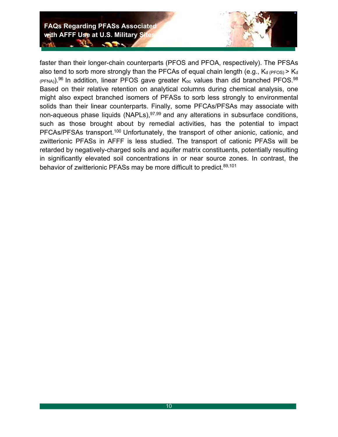

faster than their longer-chain counterparts (PFOS and PFOA, respectively). The PFSAs also tend to sorb more strongly than the PFCAs of equal chain length (e.g.,  $K_d$  (PFOS) >  $K_d$  $(PPNA)$ ).<sup>96</sup> In addition, linear PFOS gave greater  $K_{\text{oc}}$  values than did branched PFOS.<sup>98</sup> Based on their relative retention on analytical columns during chemical analysis, one might also expect branched isomers of PFASs to sorb less strongly to environmental solids than their linear counterparts. Finally, some PFCAs/PFSAs may associate with non-aqueous phase liquids (NAPLs), $97,99$  and any alterations in subsurface conditions, such as those brought about by remedial activities, has the potential to impact PFCAs/PFSAs transport.<sup>100</sup> Unfortunately, the transport of other anionic, cationic, and zwitterionic PFASs in AFFF is less studied. The transport of cationic PFASs will be retarded by negatively-charged soils and aquifer matrix constituents, potentially resulting in significantly elevated soil concentrations in or near source zones. In contrast, the behavior of zwitterionic PFASs may be more difficult to predict.<sup>89,101</sup>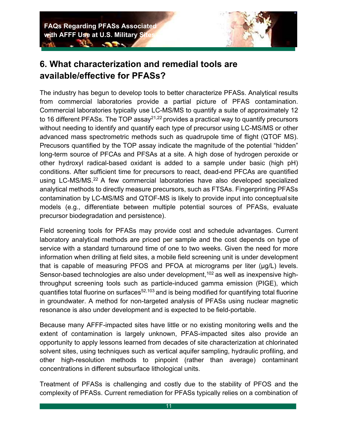

### **6. What characterization and remedial tools are available/effective for PFASs?**

The industry has begun to develop tools to better characterize PFASs. Analytical results from commercial laboratories provide a partial picture of PFAS contamination. Commercial laboratories typically use LC-MS/MS to quantify a suite of approximately 12 to 16 different PFASs. The TOP assay $21,22$  provides a practical way to quantify precursors without needing to identify and quantify each type of precursor using LC-MS/MS or other advanced mass spectrometric methods such as quadrupole time of flight (QTOF MS). Precusors quantified by the TOP assay indicate the magnitude of the potential "hidden" long-term source of PFCAs and PFSAs at a site. A high dose of hydrogen peroxide or other hydroxyl radical-based oxidant is added to a sample under basic (high pH) conditions. After sufficient time for precursors to react, dead-end PFCAs are quantified using LC-MS/MS.22 A few commercial laboratories have also developed specialized analytical methods to directly measure precursors, such as FTSAs. Fingerprinting PFASs contamination by LC-MS/MS and QTOF-MS is likely to provide input into conceptual site models (e.g., differentiate between multiple potential sources of PFASs, evaluate precursor biodegradation and persistence).

Field screening tools for PFASs may provide cost and schedule advantages. Current laboratory analytical methods are priced per sample and the cost depends on type of service with a standard turnaround time of one to two weeks. Given the need for more information when drilling at field sites, a mobile field screening unit is under development that is capable of measuring PFOS and PFOA at micrograms per liter (µg/L) levels. Sensor-based technologies are also under development,  $102$  as well as inexpensive highthroughput screening tools such as particle-induced gamma emission (PIGE), which quantifies total fluorine on surfaces $52,103$  and is being modified for quantifying total fluorine in groundwater. A method for non-targeted analysis of PFASs using nuclear magnetic resonance is also under development and is expected to be field-portable.

Because many AFFF-impacted sites have little or no existing monitoring wells and the extent of contamination is largely unknown, PFAS-impacted sites also provide an opportunity to apply lessons learned from decades of site characterization at chlorinated solvent sites, using techniques such as vertical aquifer sampling, hydraulic profiling, and other high-resolution methods to pinpoint (rather than average) contaminant concentrations in different subsurface lithological units.

Treatment of PFASs is challenging and costly due to the stability of PFOS and the complexity of PFASs. Current remediation for PFASs typically relies on a combination of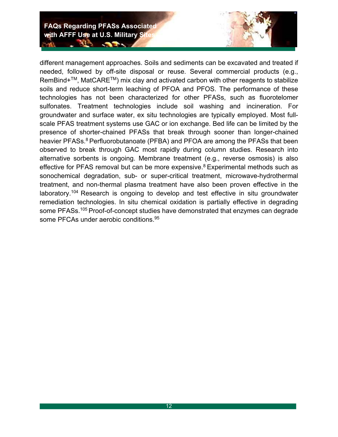different management approaches. Soils and sediments can be excavated and treated if needed, followed by off-site disposal or reuse. Several commercial products (e.g., RemBind+<sup>™</sup>, MatCARE<sup>™</sup>) mix clay and activated carbon with other reagents to stabilize soils and reduce short-term leaching of PFOA and PFOS. The performance of these technologies has not been characterized for other PFASs, such as fluorotelomer sulfonates. Treatment technologies include soil washing and incineration. For groundwater and surface water, ex situ technologies are typically employed. Most fullscale PFAS treatment systems use GAC or ion exchange. Bed life can be limited by the presence of shorter-chained PFASs that break through sooner than longer-chained heavier PFASs.<sup>8</sup> Perfluorobutanoate (PFBA) and PFOA are among the PFASs that been observed to break through GAC most rapidly during column studies. Research into alternative sorbents is ongoing. Membrane treatment (e.g., reverse osmosis) is also effective for PFAS removal but can be more expensive.<sup>8</sup> Experimental methods such as sonochemical degradation, sub- or super-critical treatment, microwave-hydrothermal treatment, and non-thermal plasma treatment have also been proven effective in the laboratory.<sup>104</sup> Research is ongoing to develop and test effective in situ groundwater remediation technologies. In situ chemical oxidation is partially effective in degrading some PFASs.<sup>105</sup> Proof-of-concept studies have demonstrated that enzymes can degrade some PFCAs under aerobic conditions.<sup>95</sup>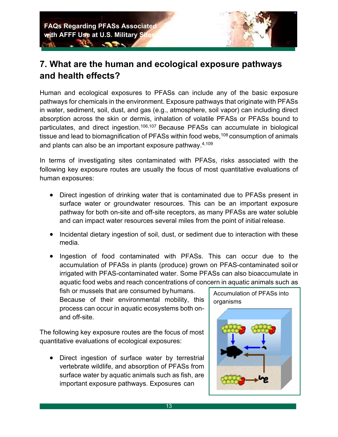#### **7. What are the human and ecological exposure pathways and health effects?**

Human and ecological exposures to PFASs can include any of the basic exposure pathways for chemicals in the environment. Exposure pathways that originate with PFASs in water, sediment, soil, dust, and gas (e.g., atmosphere, soil vapor) can including direct absorption across the skin or dermis, inhalation of volatile PFASs or PFASs bound to particulates, and direct ingestion.106,107 Because PFASs can accumulate in biological tissue and lead to biomagnification of PFASs within food webs,  $108$  consumption of animals and plants can also be an important exposure pathway.4,109

In terms of investigating sites contaminated with PFASs, risks associated with the following key exposure routes are usually the focus of most quantitative evaluations of human exposures:

- Direct ingestion of drinking water that is contaminated due to PFASs present in surface water or groundwater resources. This can be an important exposure pathway for both on-site and off-site receptors, as many PFASs are water soluble and can impact water resources several miles from the point of initial release.
- Incidental dietary ingestion of soil, dust, or sediment due to interaction with these media.
- Ingestion of food contaminated with PFASs. This can occur due to the accumulation of PFASs in plants (produce) grown on PFAS-contaminated soil or irrigated with PFAS-contaminated water. Some PFASs can also bioaccumulate in aquatic food webs and reach concentrations of concern in aquatic animals such as

fish or mussels that are consumed by humans. Because of their environmental mobility, this process can occur in aquatic ecosystems both onand off-site.

The following key exposure routes are the focus of most quantitative evaluations of ecological exposures:

• Direct ingestion of surface water by terrestrial vertebrate wildlife, and absorption of PFASs from surface water by aquatic animals such as fish, are important exposure pathways. Exposures can

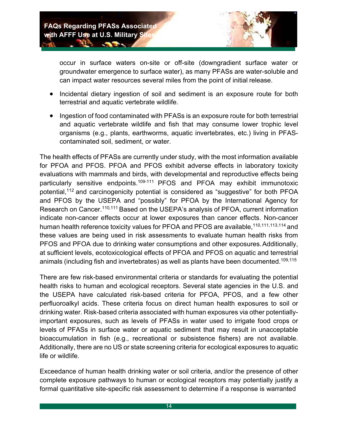**All Service** 



occur in surface waters on-site or off-site (downgradient surface water or groundwater emergence to surface water), as many PFASs are water-soluble and can impact water resources several miles from the point of initial release.

- Incidental dietary ingestion of soil and sediment is an exposure route for both terrestrial and aquatic vertebrate wildlife.
- Ingestion of food contaminated with PFASs is an exposure route for both terrestrial and aquatic vertebrate wildlife and fish that may consume lower trophic level organisms (e.g., plants, earthworms, aquatic invertebrates, etc.) living in PFAScontaminated soil, sediment, or water.

The health effects of PFASs are currently under study, with the most information available for PFOA and PFOS. PFOA and PFOS exhibit adverse effects in laboratory toxicity evaluations with mammals and birds, with developmental and reproductive effects being particularly sensitive endpoints.109-111 PFOS and PFOA may exhibit immunotoxic potential,<sup>112</sup> and carcinogenicity potential is considered as "suggestive" for both PFOA and PFOS by the USEPA and "possibly" for PFOA by the International Agency for Research on Cancer.<sup>110,111</sup> Based on the USEPA's analysis of PFOA, current information indicate non-cancer effects occur at lower exposures than cancer effects. Non-cancer human health reference toxicity values for PFOA and PFOS are available, <sup>110, 111, 113, 114</sup> and these values are being used in risk assessments to evaluate human health risks from PFOS and PFOA due to drinking water consumptions and other exposures. Additionally, at sufficient levels, ecotoxicological effects of PFOA and PFOS on aquatic and terrestrial animals (including fish and invertebrates) as well as plants have been documented.<sup>109,115</sup>

There are few risk-based environmental criteria or standards for evaluating the potential health risks to human and ecological receptors. Several state agencies in the U.S. and the USEPA have calculated risk-based criteria for PFOA, PFOS, and a few other perfluoroalkyl acids. These criteria focus on direct human health exposures to soil or drinking water. Risk-based criteria associated with human exposures via other potentiallyimportant exposures, such as levels of PFASs in water used to irrigate food crops or levels of PFASs in surface water or aquatic sediment that may result in unacceptable bioaccumulation in fish (e.g., recreational or subsistence fishers) are not available. Additionally, there are no US or state screening criteria for ecological exposures to aquatic life or wildlife.

Exceedance of human health drinking water or soil criteria, and/or the presence of other complete exposure pathways to human or ecological receptors may potentially justify a formal quantitative site-specific risk assessment to determine if a response is warranted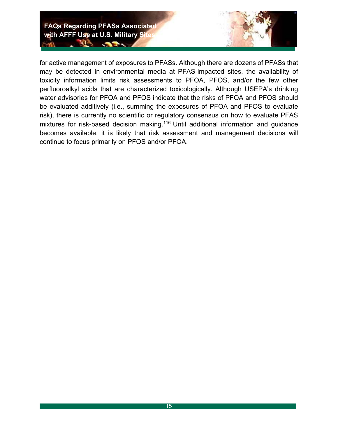

for active management of exposures to PFASs. Although there are dozens of PFASs that may be detected in environmental media at PFAS-impacted sites, the availability of toxicity information limits risk assessments to PFOA, PFOS, and/or the few other perfluoroalkyl acids that are characterized toxicologically. Although USEPA's drinking water advisories for PFOA and PFOS indicate that the risks of PFOA and PFOS should be evaluated additively (i.e., summing the exposures of PFOA and PFOS to evaluate risk), there is currently no scientific or regulatory consensus on how to evaluate PFAS mixtures for risk-based decision making.<sup>116</sup> Until additional information and guidance becomes available, it is likely that risk assessment and management decisions will continue to focus primarily on PFOS and/or PFOA.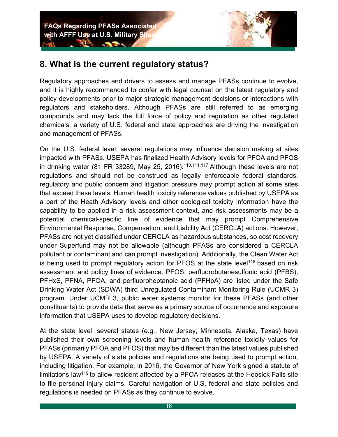**CONTRACTOR** 



#### **8. What is the current regulatory status?**

Regulatory approaches and drivers to assess and manage PFASs continue to evolve, and it is highly recommended to confer with legal counsel on the latest regulatory and policy developments prior to major strategic management decisions or interactions with regulators and stakeholders. Although PFASs are still referred to as emerging compounds and may lack the full force of policy and regulation as other regulated chemicals, a variety of U.S. federal and state approaches are driving the investigation and management of PFASs.

On the U.S. federal level, several regulations may influence decision making at sites impacted with PFASs. USEPA has finalized Health Advisory levels for PFOA and PFOS in drinking water (81 FR 33289, May 25, 2016).<sup>110,111,117</sup> Although these levels are not regulations and should not be construed as legally enforceable federal standards, regulatory and public concern and litigation pressure may prompt action at some sites that exceed these levels. Human health toxicity reference values published by USEPA as a part of the Heath Advisory levels and other ecological toxicity information have the capability to be applied in a risk assessment context, and risk assessments may be a potential chemical-specific line of evidence that may prompt Comprehensive Environmental Response, Compensation, and Liability Act (CERCLA) actions. However, PFASs are not yet classified under CERCLA as hazardous substances, so cost recovery under Superfund may not be allowable (although PFASs are considered a CERCLA pollutant or contaminant and can prompt investigation). Additionally, the Clean Water Act is being used to prompt regulatory action for PFOS at the state level<sup>118</sup> based on risk assessment and policy lines of evidence. PFOS, perfluorobutanesulfonic acid (PFBS), PFHxS, PFNA, PFOA, and perfluoroheptanoic acid (PFHpA) are listed under the Safe Drinking Water Act (SDWA) third Unregulated Contaminant Monitoring Rule (UCMR 3) program. Under UCMR 3, public water systems monitor for these PFASs (and other constituents) to provide data that serve as a primary source of occurrence and exposure information that USEPA uses to develop regulatory decisions.

At the state level, several states (e.g., New Jersey, Minnesota, Alaska, Texas) have published their own screening levels and human health reference toxicity values for PFASs (primarily PFOA and PFOS) that may be different than the latest values published by USEPA. A variety of state policies and regulations are being used to prompt action, including litigation. For example, in 2016, the Governor of New York signed a statute of limitations law<sup>119</sup> to allow resident affected by a PFOA releases at the Hoosick Falls site to file personal injury claims. Careful navigation of U.S. federal and state policies and regulations is needed on PFASs as they continue to evolve.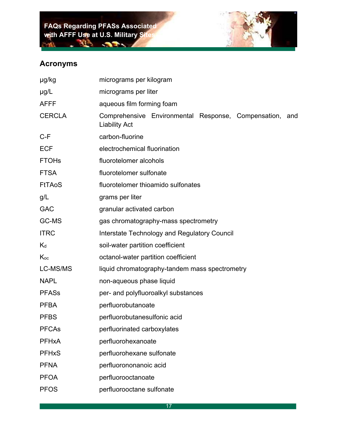

#### **Acronyms**

| µg/kg         | micrograms per kilogram                                                         |
|---------------|---------------------------------------------------------------------------------|
| $\mu$ g/L     | micrograms per liter                                                            |
| <b>AFFF</b>   | aqueous film forming foam                                                       |
| <b>CERCLA</b> | Comprehensive Environmental Response, Compensation, and<br><b>Liability Act</b> |
| $C-F$         | carbon-fluorine                                                                 |
| <b>ECF</b>    | electrochemical fluorination                                                    |
| <b>FTOHs</b>  | fluorotelomer alcohols                                                          |
| <b>FTSA</b>   | fluorotelomer sulfonate                                                         |
| <b>FtTAoS</b> | fluorotelomer thioamido sulfonates                                              |
| g/L           | grams per liter                                                                 |
| <b>GAC</b>    | granular activated carbon                                                       |
| GC-MS         | gas chromatography-mass spectrometry                                            |
| <b>ITRC</b>   | Interstate Technology and Regulatory Council                                    |
| $K_d$         | soil-water partition coefficient                                                |
| $K_{oc}$      | octanol-water partition coefficient                                             |
| LC-MS/MS      | liquid chromatography-tandem mass spectrometry                                  |
| <b>NAPL</b>   | non-aqueous phase liquid                                                        |
| <b>PFASs</b>  | per- and polyfluoroalkyl substances                                             |
| <b>PFBA</b>   | perfluorobutanoate                                                              |
| <b>PFBS</b>   | perfluorobutanesulfonic acid                                                    |
| <b>PFCAs</b>  | perfluorinated carboxylates                                                     |
| <b>PFHxA</b>  | perfluorohexanoate                                                              |
| <b>PFHxS</b>  | perfluorohexane sulfonate                                                       |
| <b>PFNA</b>   | perfluorononanoic acid                                                          |
| <b>PFOA</b>   | perfluorooctanoate                                                              |
| <b>PFOS</b>   | perfluorooctane sulfonate                                                       |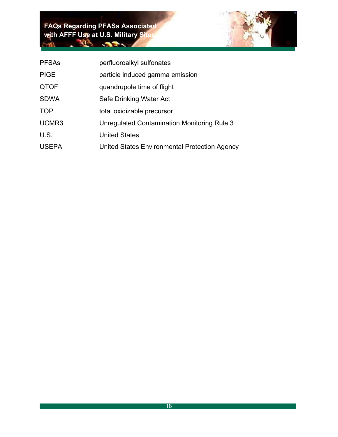| <b>PFSAs</b> | perfluoroalkyl sulfonates                     |
|--------------|-----------------------------------------------|
| <b>PIGE</b>  | particle induced gamma emission               |
| <b>QTOF</b>  | quandrupole time of flight                    |
| <b>SDWA</b>  | Safe Drinking Water Act                       |
| <b>TOP</b>   | total oxidizable precursor                    |
| UCMR3        | Unregulated Contamination Monitoring Rule 3   |
| U.S.         | <b>United States</b>                          |
| <b>USEPA</b> | United States Environmental Protection Agency |
|              |                                               |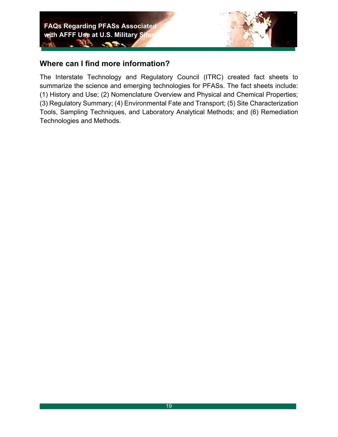

#### **Where can I find more information?**

The Interstate Technology and Regulatory Council (ITRC) created fact sheets to summarize the science and emerging technologies for PFASs. The fact sheets include: (1) History and Use; (2) Nomenclature Overview and Physical and Chemical Properties; (3) Regulatory Summary; (4) Environmental Fate and Transport; (5) Site Characterization Tools, Sampling Techniques, and Laboratory Analytical Methods; and (6) Remediation Technologies and Methods.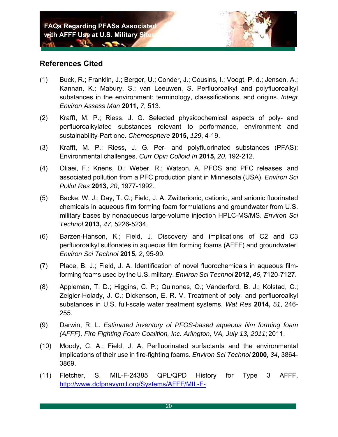**CONTRACTOR** 

#### **References Cited**

- (1) Buck, R.; Franklin, J.; Berger, U.; Conder, J.; Cousins, I.; Voogt, P. d.; Jensen, A.; Kannan, K.; Mabury, S.; van Leeuwen, S. Perfluoroalkyl and polyfluoroalkyl substances in the environment: terminology, classsifications, and origins. *Integr Environ Assess Man* **2011,** *7*, 513.
- (2) Krafft, M. P.; Riess, J. G. Selected physicochemical aspects of poly- and perfluoroalkylated substances relevant to performance, environment and sustainability-Part one. *Chemosphere* **2015,** *129*, 4-19.
- (3) Krafft, M. P.; Riess, J. G. Per- and polyfluorinated substances (PFAS): Environmental challenges. *Curr Opin Colloid In* **2015,** *20*, 192-212.
- (4) Oliaei, F.; Kriens, D.; Weber, R.; Watson, A. PFOS and PFC releases and associated pollution from a PFC production plant in Minnesota (USA). *Environ Sci Pollut Res* **2013,** *20*, 1977-1992.
- (5) Backe, W. J.; Day, T. C.; Field, J. A. Zwitterionic, cationic, and anionic fluorinated chemicals in aqueous film forming foam formulations and groundwater from U.S. military bases by nonaqueous large-volume injection HPLC-MS/MS. *Environ Sci Technol* **2013,** *47*, 5226-5234.
- (6) Barzen-Hanson, K.; Field, J. Discovery and implications of C2 and C3 perfluoroalkyl sulfonates in aqueous film forming foams (AFFF) and groundwater. *Environ Sci Technol* **2015,** *2*, 95-99.
- (7) Place, B. J.; Field, J. A. Identification of novel fluorochemicals in aqueous filmforming foams used by the U.S. military. *Environ Sci Technol* **2012,** *46*, 7120-7127.
- (8) Appleman, T. D.; Higgins, C. P.; Quinones, O.; Vanderford, B. J.; Kolstad, C.; Zeigler-Holady, J. C.; Dickenson, E. R. V. Treatment of poly- and perfluoroalkyl substances in U.S. full-scale water treatment systems. *Wat Res* **2014,** *51*, 246- 255.
- (9) Darwin, R. L. *Estimated inventory of PFOS-based aqueous film forming foam (AFFF), Fire Fighting Foam Coalition, Inc. Arlington, VA, July 13, 2011*; 2011.
- (10) Moody, C. A.; Field, J. A. Perfluorinated surfactants and the environmental implications of their use in fire-fighting foams. *Environ Sci Technol* **2000,** *34*, 3864- 3869.
- (11) Fletcher, S. MIL-F-24385 QPL/QPD History for Type 3 AFFF, http://www.dcfpnavymil.org/Systems/AFFF/MIL-F-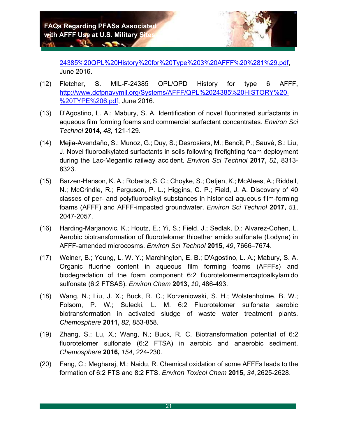**All Construction** 



24385%20QPL%20History%20for%20Type%203%20AFFF%20%281%29.pdf, June 2016.

- (12) Fletcher, S. MIL-F-24385 QPL/QPD History for type 6 AFFF, http://www.dcfpnavymil.org/Systems/AFFF/QPL%2024385%20HISTORY%20- %20TYPE%206.pdf, June 2016.
- (13) D'Agostino, L. A.; Mabury, S. A. Identification of novel fluorinated surfactants in aqueous film forming foams and commercial surfactant concentrates. *Environ Sci Technol* **2014,** *48*, 121-129.
- (14) Mejia-Avendaño, S.; Munoz, G.; Duy, S.; Desrosiers, M.; Benoı̂t, P.; Sauvé, S.; Liu, J. Novel fluoroalkylated surfactants in soils following firefighting foam deployment during the Lac-Megantic railway accident. *Environ Sci Technol* **2017,** *51*, 8313- 8323.
- (15) Barzen-Hanson, K. A.; Roberts, S. C.; Choyke, S.; Oetjen, K.; McAlees, A.; Riddell, N.; McCrindle, R.; Ferguson, P. L.; Higgins, C. P.; Field, J. A. Discovery of 40 classes of per- and polyfluoroalkyl substances in historical aqueous film-forming foams (AFFF) and AFFF-impacted groundwater. *Environ Sci Technol* **2017,** *51*, 2047-2057.
- (16) Harding-Marjanovic, K.; Houtz, E.; Yi, S.; Field, J.; Sedlak, D.; Alvarez-Cohen, L. Aerobic biotransformation of fluorotelomer thioether amido sulfonate (Lodyne) in AFFF-amended microcosms. *Environ Sci Technol* **2015,** *49*, 7666–7674.
- (17) Weiner, B.; Yeung, L. W. Y.; Marchington, E. B.; D'Agostino, L. A.; Mabury, S. A. Organic fluorine content in aqueous film forming foams (AFFFs) and biodegradation of the foam component 6:2 fluorotelomermercaptoalkylamido sulfonate (6:2 FTSAS). *Environ Chem* **2013,** *10*, 486-493.
- (18) Wang, N.; Liu, J. X.; Buck, R. C.; Korzeniowski, S. H.; Wolstenholme, B. W.; Folsom, P. W.; Sulecki, L. M. 6:2 Fluorotelomer sulfonate aerobic biotransformation in activated sludge of waste water treatment plants. *Chemosphere* **2011,** *82*, 853-858.
- (19) Zhang, S.; Lu, X.; Wang, N.; Buck, R. C. Biotransformation potential of 6:2 fluorotelomer sulfonate (6:2 FTSA) in aerobic and anaerobic sediment. *Chemosphere* **2016,** *154*, 224-230.
- (20) Fang, C.; Megharaj, M.; Naidu, R. Chemical oxidation of some AFFFs leads to the formation of 6:2 FTS and 8:2 FTS. *Environ Toxicol Chem* **2015,** *34*, 2625-2628.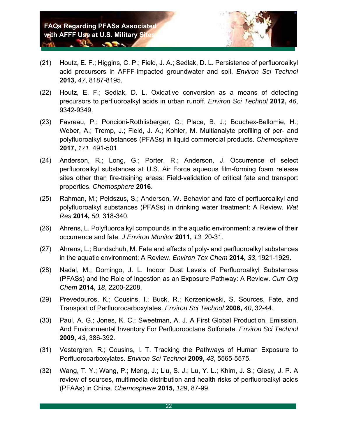**All Contract Contract Contract Contract Contract Contract Contract Contract Contract Contract Contract Contract** 



- (21) Houtz, E. F.; Higgins, C. P.; Field, J. A.; Sedlak, D. L. Persistence of perfluoroalkyl acid precursors in AFFF-impacted groundwater and soil. *Environ Sci Technol*  **2013,** *47*, 8187-8195.
- (22) Houtz, E. F.; Sedlak, D. L. Oxidative conversion as a means of detecting precursors to perfluoroalkyl acids in urban runoff. *Environ Sci Technol* **2012,** *46*, 9342-9349.
- (23) Favreau, P.; Poncioni-Rothlisberger, C.; Place, B. J.; Bouchex-Bellomie, H.; Weber, A.; Tremp, J.; Field, J. A.; Kohler, M. Multianalyte profiling of per- and polyfluoroalkyl substances (PFASs) in liquid commercial products. *Chemosphere*  **2017,** *171*, 491-501.
- (24) Anderson, R.; Long, G.; Porter, R.; Anderson, J. Occurrence of select perfluoroalkyl substances at U.S. Air Force aqueous film-forming foam release sites other than fire-training areas: Field-validation of critical fate and transport properties. *Chemosphere* **2016**.
- (25) Rahman, M.; Peldszus, S.; Anderson, W. Behavior and fate of perfluoroalkyl and polyfluoroalkyl substances (PFASs) in drinking water treatment: A Review. *Wat Res* **2014,** *50*, 318-340.
- (26) Ahrens, L. Polyfluoroalkyl compounds in the aquatic environment: a review of their occurrence and fate. *J Environ Monitor* **2011,** *13*, 20-31.
- (27) Ahrens, L.; Bundschuh, M. Fate and effects of poly- and perfluoroalkyl substances in the aquatic environment: A Review. *Environ Tox Chem* **2014,** *33*, 1921-1929.
- (28) Nadal, M.; Domingo, J. L. Indoor Dust Levels of Perfluoroalkyl Substances (PFASs) and the Role of Ingestion as an Exposure Pathway: A Review. *Curr Org Chem* **2014,** *18*, 2200-2208.
- (29) Prevedouros, K.; Cousins, I.; Buck, R.; Korzeniowski, S. Sources, Fate, and Transport of Perfluorocarboxylates. *Environ Sci Technol* **2006,** *40*, 32-44.
- (30) Paul, A. G.; Jones, K. C.; Sweetman, A. J. A First Global Production, Emission, And Environmental Inventory For Perfluorooctane Sulfonate. *Environ Sci Technol*  **2009,** *43*, 386-392.
- (31) Vestergren, R.; Cousins, I. T. Tracking the Pathways of Human Exposure to Perfluorocarboxylates. *Environ Sci Technol* **2009,** *43*, 5565-5575.
- (32) Wang, T. Y.; Wang, P.; Meng, J.; Liu, S. J.; Lu, Y. L.; Khim, J. S.; Giesy, J. P. A review of sources, multimedia distribution and health risks of perfluoroalkyl acids (PFAAs) in China. *Chemosphere* **2015,** *129*, 87-99.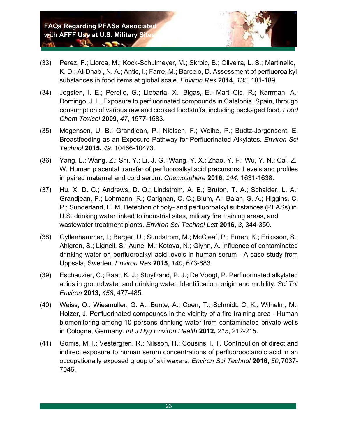*CONTRACTOR* 

ALS.



- (33) Perez, F.; Llorca, M.; Kock-Schulmeyer, M.; Skrbic, B.; Oliveira, L. S.; Martinello, K. D.; Al-Dhabi, N. A.; Antic, I.; Farre, M.; Barcelo, D. Assessment of perfluoroalkyl substances in food items at global scale. *Environ Res* **2014,** *135*, 181-189.
- (34) Jogsten, I. E.; Perello, G.; Llebaria, X.; Bigas, E.; Marti-Cid, R.; Karrman, A.; Domingo, J. L. Exposure to perfluorinated compounds in Catalonia, Spain, through consumption of various raw and cooked foodstuffs, including packaged food. *Food Chem Toxicol* **2009,** *47*, 1577-1583.
- (35) Mogensen, U. B.; Grandjean, P.; Nielsen, F.; Weihe, P.; Budtz-Jorgensent, E. Breastfeeding as an Exposure Pathway for Perfluorinated Alkylates. *Environ Sci Technol* **2015,** *49*, 10466-10473.
- (36) Yang, L.; Wang, Z.; Shi, Y.; Li, J. G.; Wang, Y. X.; Zhao, Y. F.; Wu, Y. N.; Cai, Z. W. Human placental transfer of perfluoroalkyl acid precursors: Levels and profiles in paired maternal and cord serum. *Chemosphere* **2016,** *144*, 1631-1638.
- (37) Hu, X. D. C.; Andrews, D. Q.; Lindstrom, A. B.; Bruton, T. A.; Schaider, L. A.; Grandjean, P.; Lohmann, R.; Carignan, C. C.; Blum, A.; Balan, S. A.; Higgins, C. P.; Sunderland, E. M. Detection of poly- and perfluoroalkyl substances (PFASs) in U.S. drinking water linked to industrial sites, military fire training areas, and wastewater treatment plants. *Environ Sci Technol Lett* **2016,** *3*, 344-350.
- (38) Gyllenhammar, I.; Berger, U.; Sundstrom, M.; McCleaf, P.; Euren, K.; Eriksson, S.; Ahlgren, S.; Lignell, S.; Aune, M.; Kotova, N.; Glynn, A. Influence of contaminated drinking water on perfluoroalkyl acid levels in human serum - A case study from Uppsala, Sweden. *Environ Res* **2015,** *140*, 673-683.
- (39) Eschauzier, C.; Raat, K. J.; Stuyfzand, P. J.; De Voogt, P. Perfluorinated alkylated acids in groundwater and drinking water: Identification, origin and mobility. *Sci Tot Environ* **2013,** *458*, 477-485.
- (40) Weiss, O.; Wiesmuller, G. A.; Bunte, A.; Coen, T.; Schmidt, C. K.; Wilhelm, M.; Holzer, J. Perfluorinated compounds in the vicinity of a fire training area - Human biomonitoring among 10 persons drinking water from contaminated private wells in Cologne, Germany. *Int J Hyg Environ Health* **2012,** *215*, 212-215.
- (41) Gomis, M. I.; Vestergren, R.; Nilsson, H.; Cousins, I. T. Contribution of direct and indirect exposure to human serum concentrations of perfluorooctanoic acid in an occupationally exposed group of ski waxers. *Environ Sci Technol* **2016,** *50*, 7037- 7046.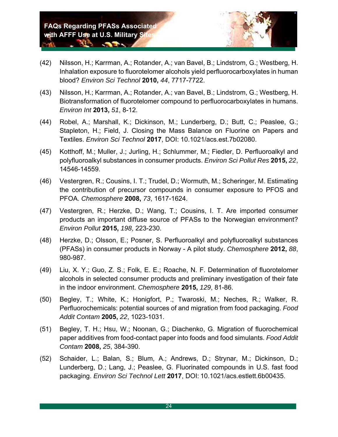**All Construction** 



- (42) Nilsson, H.; Karrman, A.; Rotander, A.; van Bavel, B.; Lindstrom, G.; Westberg, H. Inhalation exposure to fluorotelomer alcohols yield perfluorocarboxylates in human blood? *Environ Sci Technol* **2010,** *44*, 7717-7722.
- (43) Nilsson, H.; Karrman, A.; Rotander, A.; van Bavel, B.; Lindstrom, G.; Westberg, H. Biotransformation of fluorotelomer compound to perfluorocarboxylates in humans. *Environ Int* **2013,** *51*, 8-12.
- (44) Robel, A.; Marshall, K.; Dickinson, M.; Lunderberg, D.; Butt, C.; Peaslee, G.; Stapleton, H.; Field, J. Closing the Mass Balance on Fluorine on Papers and Textiles. *Environ Sci Technol* **2017**, DOI: 10.1021/acs.est.7b02080.
- (45) Kotthoff, M.; Muller, J.; Jurling, H.; Schlummer, M.; Fiedler, D. Perfluoroalkyl and polyfluoroalkyl substances in consumer products. *Environ Sci Pollut Res* **2015,** *22*, 14546-14559.
- (46) Vestergren, R.; Cousins, I. T.; Trudel, D.; Wormuth, M.; Scheringer, M. Estimating the contribution of precursor compounds in consumer exposure to PFOS and PFOA. *Chemosphere* **2008,** *73*, 1617-1624.
- (47) Vestergren, R.; Herzke, D.; Wang, T.; Cousins, I. T. Are imported consumer products an important diffuse source of PFASs to the Norwegian environment? *Environ Pollut* **2015,** *198*, 223-230.
- (48) Herzke, D.; Olsson, E.; Posner, S. Perfluoroalkyl and polyfluoroalkyl substances (PFASs) in consumer products in Norway - A pilot study. *Chemosphere* **2012,** *88*, 980-987.
- (49) Liu, X. Y.; Guo, Z. S.; Folk, E. E.; Roache, N. F. Determination of fluorotelomer alcohols in selected consumer products and preliminary investigation of their fate in the indoor environment. *Chemosphere* **2015,** *129*, 81-86.
- (50) Begley, T.; White, K.; Honigfort, P.; Twaroski, M.; Neches, R.; Walker, R. Perfluorochemicals: potential sources of and migration from food packaging. *Food Addit Contam* **2005,** *22*, 1023-1031.
- (51) Begley, T. H.; Hsu, W.; Noonan, G.; Diachenko, G. Migration of fluorochemical paper additives from food-contact paper into foods and food simulants. *Food Addit Contam* **2008,** *25*, 384-390.
- (52) Schaider, L.; Balan, S.; Blum, A.; Andrews, D.; Strynar, M.; Dickinson, D.; Lunderberg, D.; Lang, J.; Peaslee, G. Fluorinated compounds in U.S. fast food packaging. *Environ Sci Technol Lett* **2017**, DOI: 10.1021/acs.estlett.6b00435.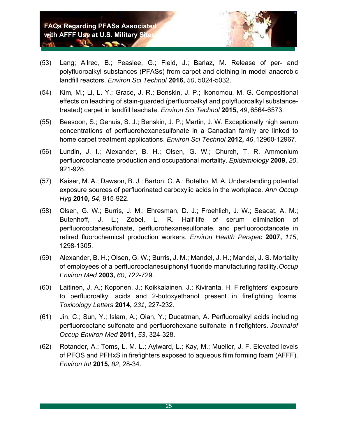- (53) Lang; Allred, B.; Peaslee, G.; Field, J.; Barlaz, M. Release of per- and polyfluoroalkyl substances (PFASs) from carpet and clothing in model anaerobic landfill reactors. *Environ Sci Technol* **2016,** *50*, 5024-5032.
- (54) Kim, M.; Li, L. Y.; Grace, J. R.; Benskin, J. P.; Ikonomou, M. G. Compositional effects on leaching of stain-guarded (perfluoroalkyl and polyfluoroalkyl substancetreated) carpet in landfill leachate. *Environ Sci Technol* **2015,** *49*, 6564-6573.
- (55) Beesoon, S.; Genuis, S. J.; Benskin, J. P.; Martin, J. W. Exceptionally high serum concentrations of perfluorohexanesulfonate in a Canadian family are linked to home carpet treatment applications. *Environ Sci Technol* **2012,** *46*, 12960-12967.
- (56) Lundin, J. I.; Alexander, B. H.; Olsen, G. W.; Church, T. R. Ammonium perfluorooctanoate production and occupational mortality. *Epidemiology* **2009,** *20*, 921-928.
- (57) Kaiser, M. A.; Dawson, B. J.; Barton, C. A.; Botelho, M. A. Understanding potential exposure sources of perfluorinated carboxylic acids in the workplace. *Ann Occup Hyg* **2010,** *54*, 915-922.
- (58) Olsen, G. W.; Burris, J. M.; Ehresman, D. J.; Froehlich, J. W.; Seacat, A. M.; Butenhoff, J. L.; Zobel, L. R. Half-life of serum elimination of perfluorooctanesulfonate, perfluorohexanesulfonate, and perfluorooctanoate in retired fluorochemical production workers. *Environ Health Perspec* **2007,** *115*, 1298-1305.
- (59) Alexander, B. H.; Olsen, G. W.; Burris, J. M.; Mandel, J. H.; Mandel, J. S. Mortality of employees of a perfluorooctanesulphonyl fluoride manufacturing facility. *Occup Environ Med* **2003,** *60*, 722-729.
- (60) Laitinen, J. A.; Koponen, J.; Koikkalainen, J.; Kiviranta, H. Firefighters' exposure to perfluoroalkyl acids and 2-butoxyethanol present in firefighting foams. *Toxicology Letters* **2014,** *231*, 227-232.
- (61) Jin, C.; Sun, Y.; Islam, A.; Qian, Y.; Ducatman, A. Perfluoroalkyl acids including perfluorooctane sulfonate and perfluorohexane sulfonate in firefighters. *Journal of Occup Environ Med* **2011,** *53*, 324-328.
- (62) Rotander, A.; Toms, L. M. L.; Aylward, L.; Kay, M.; Mueller, J. F. Elevated levels of PFOS and PFHxS in firefighters exposed to aqueous film forming foam (AFFF). *Environ Int* **2015,** *82*, 28-34.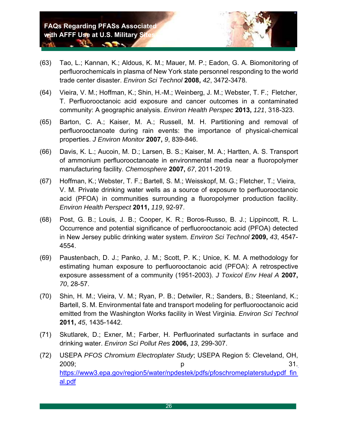**CONTRACTOR** 

**ALS** 



- (63) Tao, L.; Kannan, K.; Aldous, K. M.; Mauer, M. P.; Eadon, G. A. Biomonitoring of perfluorochemicals in plasma of New York state personnel responding to the world trade center disaster. *Environ Sci Technol* **2008,** *42*, 3472-3478.
- (64) Vieira, V. M.; Hoffman, K.; Shin, H.-M.; Weinberg, J. M.; Webster, T. F.; Fletcher, T. Perfluorooctanoic acid exposure and cancer outcomes in a contaminated community: A geographic analysis. *Environ Health Perspec* **2013,** *121*, 318-323.
- (65) Barton, C. A.; Kaiser, M. A.; Russell, M. H. Partitioning and removal of perfluorooctanoate during rain events: the importance of physical-chemical properties. *J Environ Monitor* **2007,** *9*, 839-846.
- (66) Davis, K. L.; Aucoin, M. D.; Larsen, B. S.; Kaiser, M. A.; Hartten, A. S. Transport of ammonium perfluorooctanoate in environmental media near a fluoropolymer manufacturing facility. *Chemosphere* **2007,** *67*, 2011-2019.
- (67) Hoffman, K.; Webster, T. F.; Bartell, S. M.; Weisskopf, M. G.; Fletcher, T.; Vieira, V. M. Private drinking water wells as a source of exposure to perfluorooctanoic acid (PFOA) in communities surrounding a fluoropolymer production facility. *Environ Health Perspect* **2011,** *119*, 92-97.
- (68) Post, G. B.; Louis, J. B.; Cooper, K. R.; Boros-Russo, B. J.; Lippincott, R. L. Occurrence and potential significance of perfluorooctanoic acid (PFOA) detected in New Jersey public drinking water system. *Environ Sci Technol* **2009,** *43*, 4547- 4554.
- (69) Paustenbach, D. J.; Panko, J. M.; Scott, P. K.; Unice, K. M. A methodology for estimating human exposure to perfluorooctanoic acid (PFOA): A retrospective exposure assessment of a community (1951-2003). *J Toxicol Env Heal A* **2007,**  *70*, 28-57.
- (70) Shin, H. M.; Vieira, V. M.; Ryan, P. B.; Detwiler, R.; Sanders, B.; Steenland, K.; Bartell, S. M. Environmental fate and transport modeling for perfluorooctanoic acid emitted from the Washington Works facility in West Virginia. *Environ Sci Technol*  **2011,** *45*, 1435-1442.
- (71) Skutlarek, D.; Exner, M.; Farber, H. Perfluorinated surfactants in surface and drinking water. *Environ Sci Pollut Res* **2006,** *13*, 299-307.
- (72) USEPA *PFOS Chromium Electroplater Study*; USEPA Region 5: Cleveland, OH, 2009; expression of the property of the property of the state of the state of the state of the state of the st https://www3.epa.gov/region5/water/npdestek/pdfs/pfoschromeplaterstudypdf\_fin al.pdf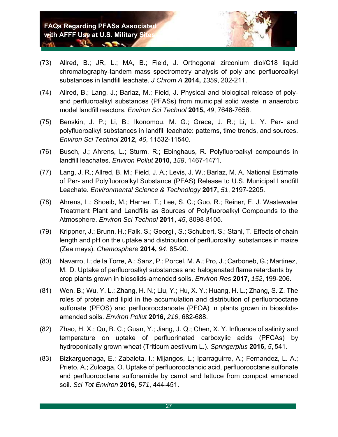

- (73) Allred, B.; JR, L.; MA, B.; Field, J. Orthogonal zirconium diol/C18 liquid chromatography-tandem mass spectrometry analysis of poly and perfluoroalkyl substances in landfill leachate. *J Chrom A* **2014,** *1359*, 202-211.
- (74) Allred, B.; Lang, J.; Barlaz, M.; Field, J. Physical and biological release of polyand perfluoroalkyl substances (PFASs) from municipal solid waste in anaerobic model landfill reactors. *Environ Sci Technol* **2015,** *49*, 7648-7656.
- (75) Benskin, J. P.; Li, B.; Ikonomou, M. G.; Grace, J. R.; Li, L. Y. Per- and polyfluoroalkyl substances in landfill leachate: patterns, time trends, and sources. *Environ Sci Technol* **2012,** *46*, 11532-11540.
- (76) Busch, J.; Ahrens, L.; Sturm, R.; Ebinghaus, R. Polyfluoroalkyl compounds in landfill leachates. *Environ Pollut* **2010,** *158*, 1467-1471.
- (77) Lang, J. R.; Allred, B. M.; Field, J. A.; Levis, J. W.; Barlaz, M. A. National Estimate of Per- and Polyfluoroalkyl Substance (PFAS) Release to U.S. Municipal Landfill Leachate. *Environmental Science & Technology* **2017,** *51*, 2197-2205.
- (78) Ahrens, L.; Shoeib, M.; Harner, T.; Lee, S. C.; Guo, R.; Reiner, E. J. Wastewater Treatment Plant and Landfills as Sources of Polyfluoroalkyl Compounds to the Atmosphere. *Environ Sci Technol* **2011,** *45*, 8098-8105.
- (79) Krippner, J.; Brunn, H.; Falk, S.; Georgii, S.; Schubert, S.; Stahl, T. Effects of chain length and pH on the uptake and distribution of perfluoroalkyl substances in maize (Zea mays). *Chemosphere* **2014,** *94*, 85-90.
- (80) Navarro, I.; de la Torre, A.; Sanz, P.; Porcel, M. A.; Pro, J.; Carboneb, G.; Martinez, M. D. Uptake of perfluoroalkyl substances and halogenated flame retardants by crop plants grown in biosolids-amended soils. *Environ Res* **2017,** *152*, 199-206.
- (81) Wen, B.; Wu, Y. L.; Zhang, H. N.; Liu, Y.; Hu, X. Y.; Huang, H. L.; Zhang, S. Z. The roles of protein and lipid in the accumulation and distribution of perfluorooctane sulfonate (PFOS) and perfluorooctanoate (PFOA) in plants grown in biosolidsamended soils. *Environ Pollut* **2016,** *216*, 682-688.
- (82) Zhao, H. X.; Qu, B. C.; Guan, Y.; Jiang, J. Q.; Chen, X. Y. Influence of salinity and temperature on uptake of perfluorinated carboxylic acids (PFCAs) by hydroponically grown wheat (Triticum aestivum L.). *Springerplus* **2016,** *5*, 541.
- (83) Bizkarguenaga, E.; Zabaleta, I.; Mijangos, L.; Iparraguirre, A.; Fernandez, L. A.; Prieto, A.; Zuloaga, O. Uptake of perfluorooctanoic acid, perfluorooctane sulfonate and perfluorooctane sulfonamide by carrot and lettuce from compost amended soil. *Sci Tot Environ* **2016,** *571*, 444-451.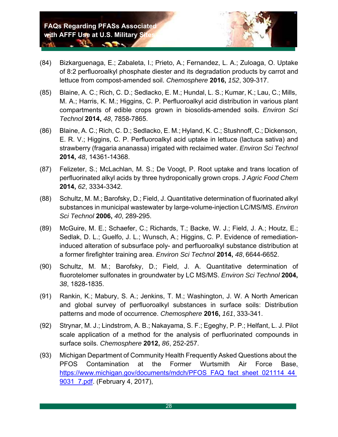**CONTRACTOR** 

 $\mathbf{A}$  in  $\mathbf{A}$ 



- (84) Bizkarguenaga, E.; Zabaleta, I.; Prieto, A.; Fernandez, L. A.; Zuloaga, O. Uptake of 8:2 perfluoroalkyl phosphate diester and its degradation products by carrot and lettuce from compost-amended soil. *Chemosphere* **2016,** *152*, 309-317.
- (85) Blaine, A. C.; Rich, C. D.; Sedlacko, E. M.; Hundal, L. S.; Kumar, K.; Lau, C.; Mills, M. A.; Harris, K. M.; Higgins, C. P. Perfluoroalkyl acid distribution in various plant compartments of edible crops grown in biosolids-amended soils. *Environ Sci Technol* **2014,** *48*, 7858-7865.
- (86) Blaine, A. C.; Rich, C. D.; Sedlacko, E. M.; Hyland, K. C.; Stushnoff, C.; Dickenson, E. R. V.; Higgins, C. P. Perfluoroalkyl acid uptake in lettuce (lactuca sativa) and strawberry (fragaria ananassa) irrigated with reclaimed water. *Environ Sci Technol*  **2014,** *48*, 14361-14368.
- (87) Felizeter, S.; McLachlan, M. S.; De Voogt, P. Root uptake and trans location of perfluorinated alkyl acids by three hydroponically grown crops. *J Agric Food Chem*  **2014,** *62*, 3334-3342.
- (88) Schultz, M. M.; Barofsky, D.; Field, J. Quantitative determination of fluorinated alkyl substances in municipal wastewater by large-volume-injection LC/MS/MS. *Environ Sci Technol* **2006,** *40*, 289-295.
- (89) McGuire, M. E.; Schaefer, C.; Richards, T.; Backe, W. J.; Field, J. A.; Houtz, E.; Sedlak, D. L.; Guelfo, J. L.; Wunsch, A.; Higgins, C. P. Evidence of remediationinduced alteration of subsurface poly- and perfluoroalkyl substance distribution at a former firefighter training area. *Environ Sci Technol* **2014,** *48*, 6644-6652.
- (90) Schultz, M. M.; Barofsky, D.; Field, J. A. Quantitative determination of fluorotelomer sulfonates in groundwater by LC MS/MS. *Environ Sci Technol* **2004,**  *38*, 1828-1835.
- (91) Rankin, K.; Mabury, S. A.; Jenkins, T. M.; Washington, J. W. A North American and global survey of perfluoroalkyl substances in surface soils: Distribution patterns and mode of occurrence. *Chemosphere* **2016,** *161*, 333-341.
- (92) Strynar, M. J.; Lindstrom, A. B.; Nakayama, S. F.; Egeghy, P. P.; Helfant, L. J. Pilot scale application of a method for the analysis of perfluorinated compounds in surface soils. *Chemosphere* **2012,** *86*, 252-257.
- (93) Michigan Department of Community Health Frequently Asked Questions about the PFOS Contamination at the Former Wurtsmith Air Force Base, https://www.michigan.gov/documents/mdch/PFOS\_FAQ\_fact\_sheet\_021114\_44 9031\_7.pdf. (February 4, 2017),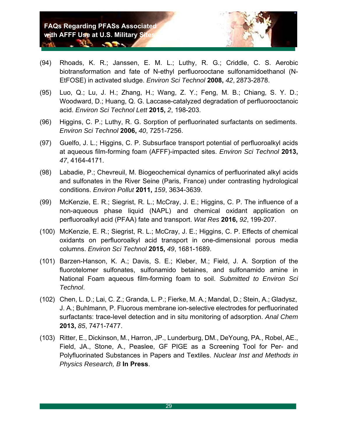**CONTRACTOR** 

**ALS** 



- (94) Rhoads, K. R.; Janssen, E. M. L.; Luthy, R. G.; Criddle, C. S. Aerobic biotransformation and fate of N-ethyl perfluorooctane sulfonamidoethanol (N-EtFOSE) in activated sludge. *Environ Sci Technol* **2008,** *42*, 2873-2878.
- (95) Luo, Q.; Lu, J. H.; Zhang, H.; Wang, Z. Y.; Feng, M. B.; Chiang, S. Y. D.; Woodward, D.; Huang, Q. G. Laccase-catalyzed degradation of perfluorooctanoic acid. *Environ Sci Technol Lett* **2015,** *2*, 198-203.
- (96) Higgins, C. P.; Luthy, R. G. Sorption of perfluorinated surfactants on sediments. *Environ Sci Technol* **2006,** *40*, 7251-7256.
- (97) Guelfo, J. L.; Higgins, C. P. Subsurface transport potential of perfluoroalkyl acids at aqueous film-forming foam (AFFF)-impacted sites. *Environ Sci Technol* **2013,**  *47*, 4164-4171.
- (98) Labadie, P.; Chevreuil, M. Biogeochemical dynamics of perfluorinated alkyl acids and sulfonates in the River Seine (Paris, France) under contrasting hydrological conditions. *Environ Pollut* **2011,** *159*, 3634-3639.
- (99) McKenzie, E. R.; Siegrist, R. L.; McCray, J. E.; Higgins, C. P. The influence of a non-aqueous phase liquid (NAPL) and chemical oxidant application on perfluoroalkyl acid (PFAA) fate and transport. *Wat Res* **2016,** *92*, 199-207.
- (100) McKenzie, E. R.; Siegrist, R. L.; McCray, J. E.; Higgins, C. P. Effects of chemical oxidants on perfluoroalkyl acid transport in one-dimensional porous media columns. *Environ Sci Technol* **2015,** *49*, 1681-1689.
- (101) Barzen-Hanson, K. A.; Davis, S. E.; Kleber, M.; Field, J. A. Sorption of the fluorotelomer sulfonates, sulfonamido betaines, and sulfonamido amine in National Foam aqueous film-forming foam to soil. *Submitted to Environ Sci Technol*.
- (102) Chen, L. D.; Lai, C. Z.; Granda, L. P.; Fierke, M. A.; Mandal, D.; Stein, A.; Gladysz, J. A.; Buhlmann, P. Fluorous membrane ion-selective electrodes for perfluorinated surfactants: trace-level detection and in situ monitoring of adsorption. *Anal Chem*  **2013,** *85*, 7471-7477.
- (103) Ritter, E., Dickinson, M., Harron, JP., Lunderburg, DM., DeYoung, PA., Robel, AE., Field, JA., Stone, A., Peaslee, GF PIGE as a Screening Tool for Per- and Polyfluorinated Substances in Papers and Textiles. *Nuclear Inst and Methods in Physics Research, B* **In Press**.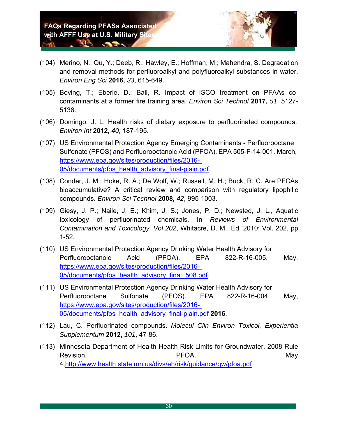**All Contract Contract Contract Contract Contract Contract Contract Contract Contract Contract Contract Contract** 



- (104) Merino, N.; Qu, Y.; Deeb, R.; Hawley, E.; Hoffman, M.; Mahendra, S. Degradation and removal methods for perfluoroalkyl and polyfluoroalkyl substances in water. *Environ Eng Sci* **2016,** *33*, 615-649.
- (105) Boving, T.; Eberle, D.; Ball, R. Impact of ISCO treatment on PFAAs cocontaminants at a former fire training area. *Environ Sci Technol* **2017,** *51*, 5127- 5136.
- (106) Domingo, J. L. Health risks of dietary exposure to perfluorinated compounds. *Environ Int* **2012,** *40*, 187-195.
- (107) US Environmental Protection Agency Emerging Contaminants Perfluorooctane Sulfonate (PFOS) and Perfluorooctanoic Acid (PFOA). EPA 505-F-14-001. March, https://www.epa.gov/sites/production/files/2016- 05/documents/pfos health advisory final-plain.pdf.
- (108) Conder, J. M.; Hoke, R. A.; De Wolf, W.; Russell, M. H.; Buck, R. C. Are PFCAs bioaccumulative? A critical review and comparison with regulatory lipophilic compounds. *Environ Sci Technol* **2008,** *42*, 995-1003.
- (109) Giesy, J. P.; Naile, J. E.; Khim, J. S.; Jones, P. D.; Newsted, J. L., Aquatic toxicology of perfluorinated chemicals. In *Reviews of Environmental Contamination and Toxicology, Vol 202*, Whitacre, D. M., Ed. 2010; Vol. 202, pp 1-52.
- (110) US Environmental Protection Agency Drinking Water Health Advisory for Perfluorooctanoic Acid (PFOA). EPA 822-R-16-005. May, https://www.epa.gov/sites/production/files/2016- 05/documents/pfoa\_health\_advisory\_final\_508.pdf
- (111) US Environmental Protection Agency Drinking Water Health Advisory for Perfluorooctane Sulfonate (PFOS). EPA 822-R-16-004. May, https://www.epa.gov/sites/production/files/2016- 05/documents/pfos\_health\_advisory\_final-plain.pdf **2016**.
- (112) Lau, C. Perfluorinated compounds. *Molecul Clin Environ Toxicol, Experientia Supplementum* **2012,** *101*, 47-86.
- (113) Minnesota Department of Health Health Risk Limits for Groundwater, 2008 Rule Revision, National Contract of the PFOA. The extension of the May is the May in the May 4,http://www.health.state.mn.us/divs/eh/risk/guidance/gw/pfoa.pdf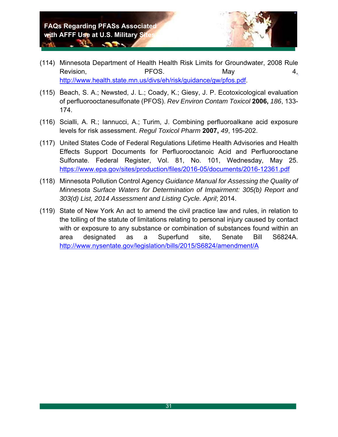*COLORADO* 

**ALS** 



- (114) Minnesota Department of Health Health Risk Limits for Groundwater, 2008 Rule Revision, Revision, Revision, Revision, Revision, Revision, Revision, Revision, R http://www.health.state.mn.us/divs/eh/risk/guidance/gw/pfos.pdf.
- (115) Beach, S. A.; Newsted, J. L.; Coady, K.; Giesy, J. P. Ecotoxicological evaluation of perfluorooctanesulfonate (PFOS). *Rev Environ Contam Toxicol* **2006,** *186*, 133- 174.
- (116) Scialli, A. R.; Iannucci, A.; Turim, J. Combining perfluoroalkane acid exposure levels for risk assessment. *Regul Toxicol Pharm* **2007,** *49*, 195-202.
- (117) United States Code of Federal Regulations Lifetime Health Advisories and Health Effects Support Documents for Perfluorooctanoic Acid and Perfluorooctane Sulfonate. Federal Register, Vol. 81, No. 101, Wednesday, May 25. https://www.epa.gov/sites/production/files/2016-05/documents/2016-12361.pdf
- (118) Minnesota Pollution Control Agency *Guidance Manual for Assessing the Quality of Minnesota Surface Waters for Determination of Impairment: 305(b) Report and 303(d) List, 2014 Assessment and Listing Cycle. April*; 2014.
- (119) State of New York An act to amend the civil practice law and rules, in relation to the tolling of the statute of limitations relating to personal injury caused by contact with or exposure to any substance or combination of substances found within an area designated as a Superfund site, Senate Bill S6824A. http://www.nysentate.gov/legislation/bills/2015/S6824/amendment/A